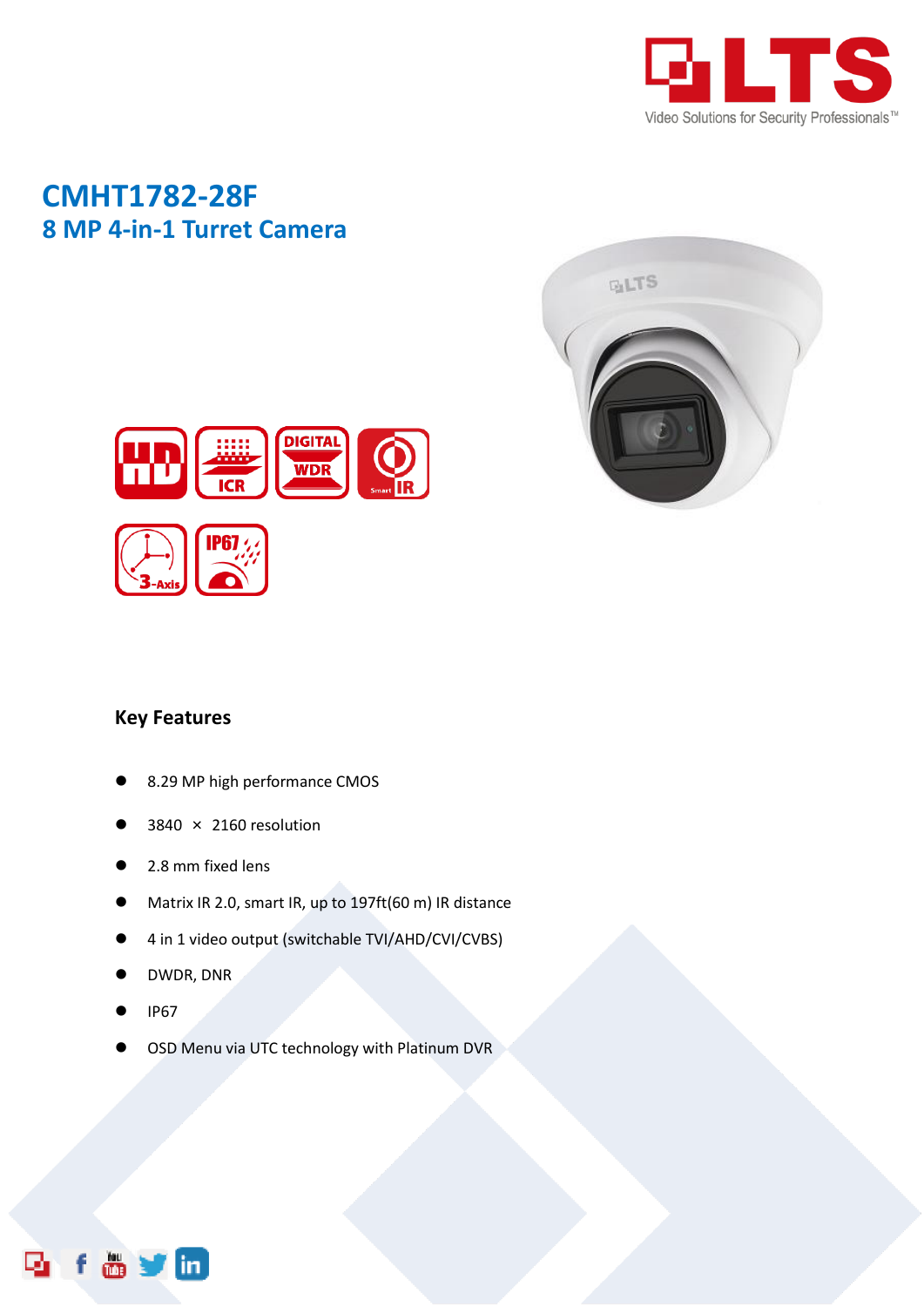

# **CMHT1782-28F 8 MP 4-in-1 Turret Camera**





### **Key Features**

- 8.29 MP high performance CMOS
- 3840 × 2160 resolution
- 2.8 mm fixed lens
- Matrix IR 2.0, smart IR, up to 197ft(60 m) IR distance
- 4 in 1 video output (switchable TVI/AHD/CVI/CVBS)
- DWDR, DNR
- IP67

 $\blacksquare$ 

OSD Menu via UTC technology with Platinum DVR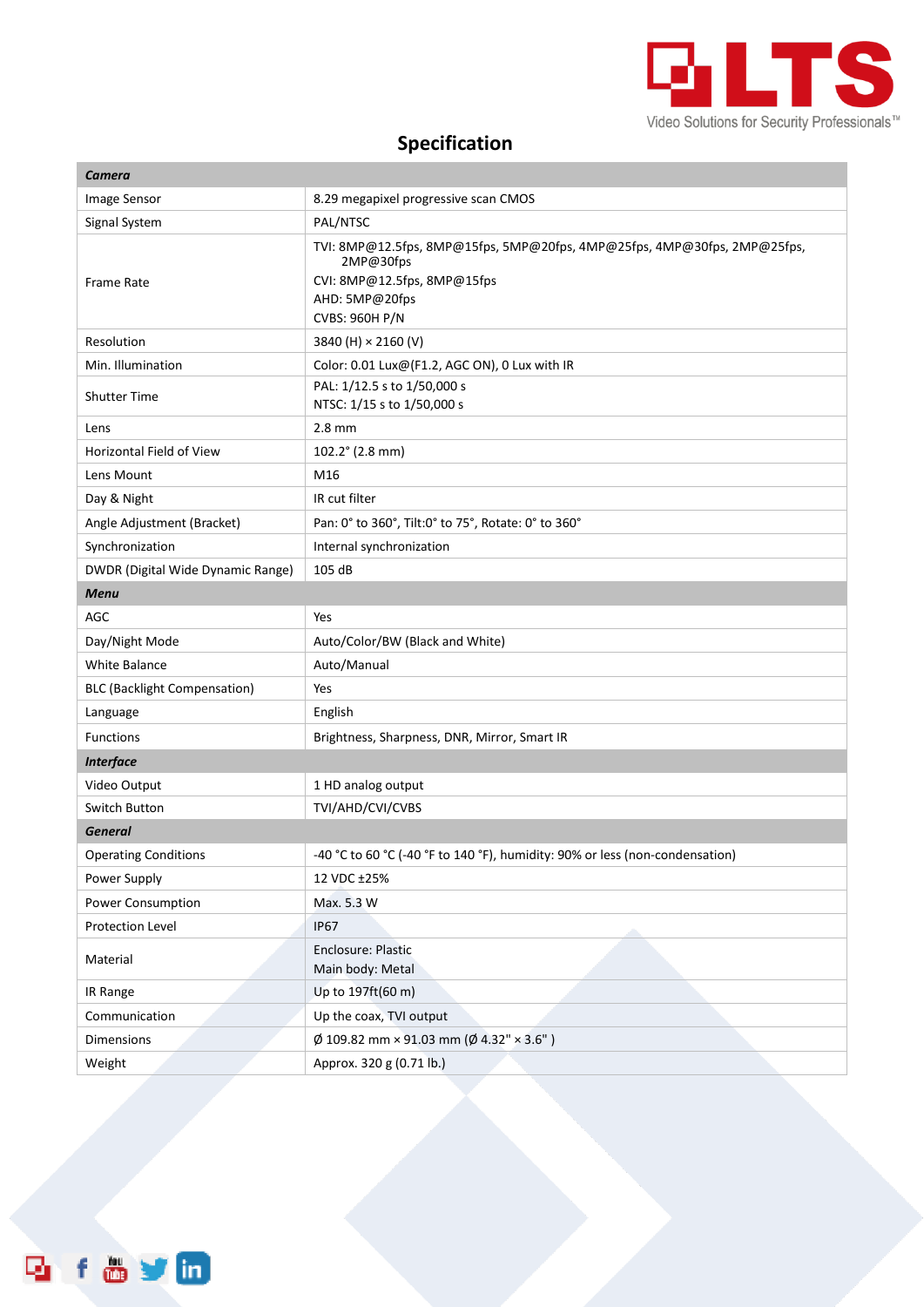

## **Specification**

| Camera                              |                                                                                                                                                                 |
|-------------------------------------|-----------------------------------------------------------------------------------------------------------------------------------------------------------------|
| Image Sensor                        | 8.29 megapixel progressive scan CMOS                                                                                                                            |
| Signal System                       | PAL/NTSC                                                                                                                                                        |
| Frame Rate                          | TVI: 8MP@12.5fps, 8MP@15fps, 5MP@20fps, 4MP@25fps, 4MP@30fps, 2MP@25fps,<br>2MP@30fps<br>CVI: 8MP@12.5fps, 8MP@15fps<br>AHD: 5MP@20fps<br><b>CVBS: 960H P/N</b> |
| Resolution                          | 3840 (H) × 2160 (V)                                                                                                                                             |
| Min. Illumination                   | Color: 0.01 Lux@(F1.2, AGC ON), 0 Lux with IR                                                                                                                   |
| <b>Shutter Time</b>                 | PAL: 1/12.5 s to 1/50,000 s<br>NTSC: 1/15 s to 1/50,000 s                                                                                                       |
| Lens                                | $2.8$ mm                                                                                                                                                        |
| Horizontal Field of View            | 102.2° (2.8 mm)                                                                                                                                                 |
| Lens Mount                          | M16                                                                                                                                                             |
| Day & Night                         | IR cut filter                                                                                                                                                   |
| Angle Adjustment (Bracket)          | Pan: 0° to 360°, Tilt:0° to 75°, Rotate: 0° to 360°                                                                                                             |
| Synchronization                     | Internal synchronization                                                                                                                                        |
| DWDR (Digital Wide Dynamic Range)   | 105 dB                                                                                                                                                          |
| <b>Menu</b>                         |                                                                                                                                                                 |
| AGC                                 | Yes                                                                                                                                                             |
| Day/Night Mode                      | Auto/Color/BW (Black and White)                                                                                                                                 |
| <b>White Balance</b>                | Auto/Manual                                                                                                                                                     |
| <b>BLC (Backlight Compensation)</b> | Yes                                                                                                                                                             |
| Language                            | English                                                                                                                                                         |
| <b>Functions</b>                    | Brightness, Sharpness, DNR, Mirror, Smart IR                                                                                                                    |
| <b>Interface</b>                    |                                                                                                                                                                 |
| Video Output                        | 1 HD analog output                                                                                                                                              |
| Switch Button                       | TVI/AHD/CVI/CVBS                                                                                                                                                |
| <b>General</b>                      |                                                                                                                                                                 |
| <b>Operating Conditions</b>         | -40 °C to 60 °C (-40 °F to 140 °F), humidity: 90% or less (non-condensation)                                                                                    |
| Power Supply                        | 12 VDC ±25%                                                                                                                                                     |
| Power Consumption                   | Max. 5.3 W                                                                                                                                                      |
| Protection Level                    | <b>IP67</b>                                                                                                                                                     |
| Material                            | Enclosure: Plastic<br>Main body: Metal                                                                                                                          |
| IR Range                            | Up to 197ft(60 m)                                                                                                                                               |
| Communication                       | Up the coax, TVI output                                                                                                                                         |
| <b>Dimensions</b>                   | $\varphi$ 109.82 mm × 91.03 mm ( $\varphi$ 4.32" × 3.6")                                                                                                        |
| Weight                              | Approx. 320 g (0.71 lb.)                                                                                                                                        |

f & y m